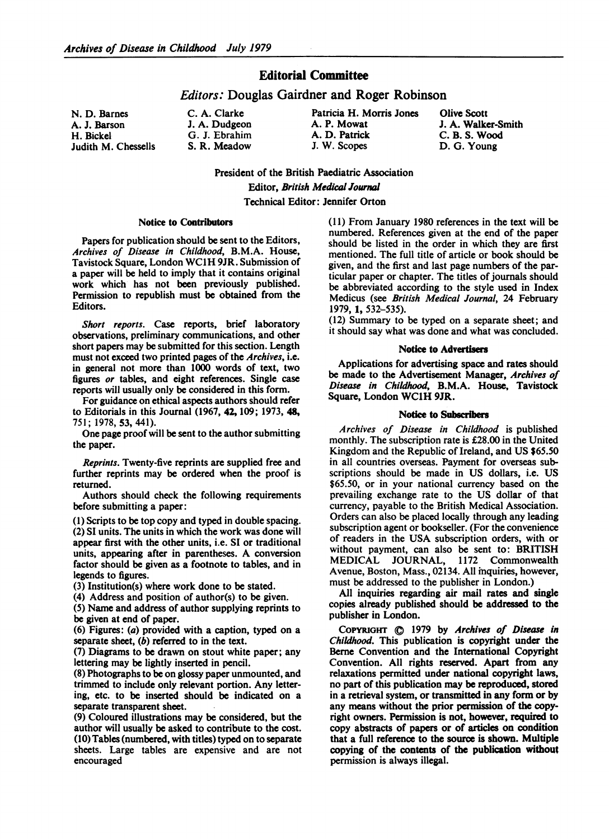## Editorial Committee

### Editors: Douglas Gairdner and Roger Robinson

N. D. Barnes A. J. Barson H. Bickel Judith M. Chessells

| C. A. Clarke  |  |
|---------------|--|
| J. A. Dudgeon |  |
| G. J. Ebrahim |  |
| S. R. Meadow  |  |

Patricia H. Morris Jones A. P. Mowat A. D. Patrick J. W. Scopes

Olive Scott J. A. Walker-Smith C. B. S. Wood D. G. Young

President of the British Paediatric Association Editor, British Medical Journal Technical Editor: Jennifer Orton

#### Notice to Contributors

Papers for publication should be sent to the Editors, Archives of Disease in Childhood, B.M.A. House, Tavistock Square, London WC1H 9JR. Submission of a paper will be held to imply that it contains original work which has not been previously published. Permission to republish must be obtained from the Editors.

Short reports. Case reports, brief laboratory observations, preliminary communications, and other short papers may be submitted for this section. Length must not exceed two printed pages of the Archives, i.e. in general not more than 1000 words of text, two figures or tables, and eight references. Single case reports will usually only be considered in this form.

For guidance on ethical aspects authors should refer to Editorials in this Journal (1967, 42,109; 1973, 48, 751; 1978, 53, 441).

One page proof will be sent to the author submitting the paper.

Reprints. Twenty-five reprints are supplied free and further reprints may be ordered when the proof is returned.

Authors should check the following requirements before submitting a paper:

(1) Scripts to be top copy and typed in double spacing. (2) SI units. The units in which the work was done will appear first with the other units, i.e. SI or traditional units, appearing after in parentheses. A conversion factor should be given as a footnote to tables, and in legends to figures.

(3) Institution(s) where work done to be stated.

(4) Address and position of author(s) to be given.

(5) Name and address of author supplying reprints to be given at end of paper.

(6) Figures: (a) provided with a caption, typed on a separate sheet, (b) referred to in the text.

(7) Diagrams to be drawn on stout white paper; any lettering may be lightly inserted in pencil.

(8) Photographs to be on glossy paper unmounted, and trimmed to include only relevant portion. Any lettering, etc. to be inserted should be indicated on a separate transparent sheet.

(9) Coloured illustrations may be considered, but the author will usually be asked to contribute to the cost. (10) Tables (numbered, with titles) typed on to separate sheets. Large tables are expensive and are not encouraged

(11) From January 1980 references in the text will be numbered. References given at the end of the paper should be listed in the order in which they are first mentioned. The full title of article or book should be given, and the first and last page numbers of the particular paper or chapter. The titles of journals should be abbreviated according to the style used in Index Medicus (see British Medical Journal, 24 February 1979, 1, 532-535).

(12) Summary to be typed on a separate sheet; and it should say what was done and what was concluded.

#### Notice to Advertisers

Applications for advertising space and rates should be made to the Advertisement Manager, Archives of Disease in Childhood, B.M.A. House, Tavistock Square, London WC1H 9JR.

#### Notice to Subscribers

Archives of Disease in Childhood is published monthly. The subscription rate is £28.00 in the United Kingdom and the Republic of Ireland, and US \$65.50 in all countries overseas. Payment for overseas subscriptions should be made in US dollars, i.e. US \$65.50, or in your national currency based on the prevailing exchange rate to the US dollar of that currency, payable to the British Medical Association. Orders can also be placed locally through any leading subscription agent or bookseller. (For the convenience of readers in the USA subscription orders, with or without payment, can also be sent to: BRITISH MEDICAL JOURNAL, <sup>1172</sup> Commonwealth Avenue, Boston, Mass., 02134. All inquiries, however, must be addressed to the publisher in London.)

All inquiries regarding air mail rates and single copies already published should be addressed to the publisher in London.

COPYRIGHT C 1979 by Archives of Disease in Childhood. This publication is copyright under the Berne Convention and the Intemational Copyright Convention. All rights reserved. Apart from any relaxations permitted under national copyright laws, no part of this publication may be reproduced, stored in a retrieval system, or transmitted in any form or by any means without the prior permission of the copyright owners. Permission is not, however, required to copy abstracts of papers or of articles on condition that a full reference to the source is shown. Multiple copying of the contents of the publication without permission is always illegal.